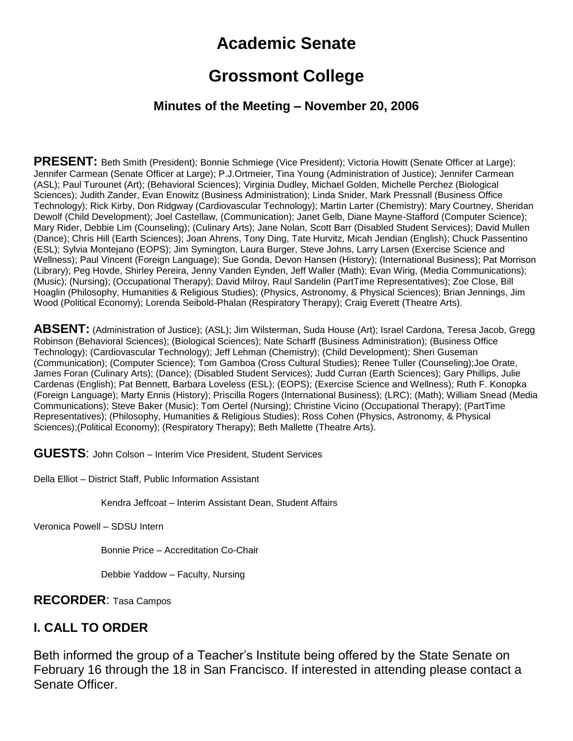# **Academic Senate**

# **Grossmont College**

#### **Minutes of the Meeting – November 20, 2006**

**PRESENT:** Beth Smith (President); Bonnie Schmiege (Vice President); Victoria Howitt (Senate Officer at Large); Jennifer Carmean (Senate Officer at Large); P.J.Ortmeier, Tina Young (Administration of Justice); Jennifer Carmean (ASL); Paul Turounet (Art); (Behavioral Sciences); Virginia Dudley, Michael Golden, Michelle Perchez (Biological Sciences); Judith Zander, Evan Enowitz (Business Administration); Linda Snider, Mark Pressnall (Business Office Technology); Rick Kirby, Don Ridgway (Cardiovascular Technology); Martin Larter (Chemistry); Mary Courtney, Sheridan Dewolf (Child Development); Joel Castellaw, (Communication); Janet Gelb, Diane Mayne-Stafford (Computer Science); Mary Rider, Debbie Lim (Counseling); (Culinary Arts); Jane Nolan, Scott Barr (Disabled Student Services); David Mullen (Dance); Chris Hill (Earth Sciences); Joan Ahrens, Tony Ding, Tate Hurvitz, Micah Jendian (English); Chuck Passentino (ESL); Sylvia Montejano (EOPS); Jim Symington, Laura Burger, Steve Johns, Larry Larsen (Exercise Science and Wellness); Paul Vincent (Foreign Language); Sue Gonda, Devon Hansen (History); (International Business); Pat Morrison (Library); Peg Hovde, Shirley Pereira, Jenny Vanden Eynden, Jeff Waller (Math); Evan Wirig, (Media Communications); (Music); (Nursing); (Occupational Therapy); David Milroy, Raul Sandelin (PartTime Representatives); Zoe Close, Bill Hoaglin (Philosophy, Humanities & Religious Studies); (Physics, Astronomy, & Physical Sciences); Brian Jennings, Jim Wood (Political Economy); Lorenda Seibold-Phalan (Respiratory Therapy); Craig Everett (Theatre Arts).

**ABSENT:** (Administration of Justice); (ASL); Jim Wilsterman, Suda House (Art); Israel Cardona, Teresa Jacob, Gregg Robinson (Behavioral Sciences); (Biological Sciences); Nate Scharff (Business Administration); (Business Office Technology); (Cardiovascular Technology); Jeff Lehman (Chemistry); (Child Development); Sheri Guseman (Communication); (Computer Science); Tom Gamboa (Cross Cultural Studies); Renee Tuller (Counseling);Joe Orate, James Foran (Culinary Arts); (Dance); (Disabled Student Services); Judd Curran (Earth Sciences); Gary Phillips, Julie Cardenas (English); Pat Bennett, Barbara Loveless (ESL); (EOPS); (Exercise Science and Wellness); Ruth F. Konopka (Foreign Language); Marty Ennis (History); Priscilla Rogers (International Business); (LRC); (Math); William Snead (Media Communications); Steve Baker (Music); Tom Oertel (Nursing); Christine Vicino (Occupational Therapy); (PartTime Representatives); (Philosophy, Humanities & Religious Studies); Ross Cohen (Physics, Astronomy, & Physical Sciences);(Political Economy); (Respiratory Therapy); Beth Mallette (Theatre Arts).

**GUESTS**: John Colson – Interim Vice President, Student Services

Della Elliot – District Staff, Public Information Assistant

Kendra Jeffcoat – Interim Assistant Dean, Student Affairs

Veronica Powell – SDSU Intern

Bonnie Price – Accreditation Co-Chair

Debbie Yaddow – Faculty, Nursing

**RECORDER**: Tasa Campos

#### **I. CALL TO ORDER**

Beth informed the group of a Teacher's Institute being offered by the State Senate on February 16 through the 18 in San Francisco. If interested in attending please contact a Senate Officer.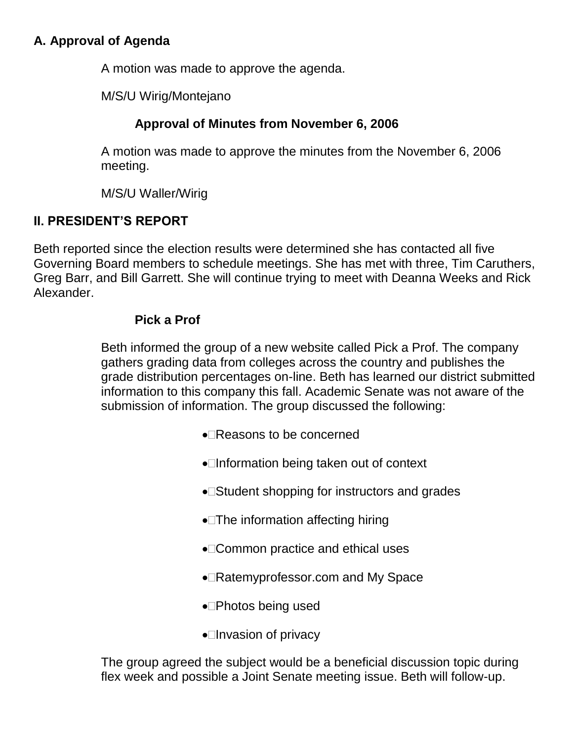# **A. Approval of Agenda**

A motion was made to approve the agenda.

M/S/U Wirig/Montejano

# **Approval of Minutes from November 6, 2006**

A motion was made to approve the minutes from the November 6, 2006 meeting.

M/S/U Waller/Wirig

# **II. PRESIDENT'S REPORT**

Beth reported since the election results were determined she has contacted all five Governing Board members to schedule meetings. She has met with three, Tim Caruthers, Greg Barr, and Bill Garrett. She will continue trying to meet with Deanna Weeks and Rick Alexander.

### **Pick a Prof**

Beth informed the group of a new website called Pick a Prof. The company gathers grading data from colleges across the country and publishes the grade distribution percentages on-line. Beth has learned our district submitted information to this company this fall. Academic Senate was not aware of the submission of information. The group discussed the following:

- Reasons to be concerned
- •□Information being taken out of context
- Student shopping for instructors and grades
- •**The information affecting hiring**
- Common practice and ethical uses
- Ratemyprofessor.com and My Space
- •**Photos being used**
- $\bullet$  Invasion of privacy

The group agreed the subject would be a beneficial discussion topic during flex week and possible a Joint Senate meeting issue. Beth will follow-up.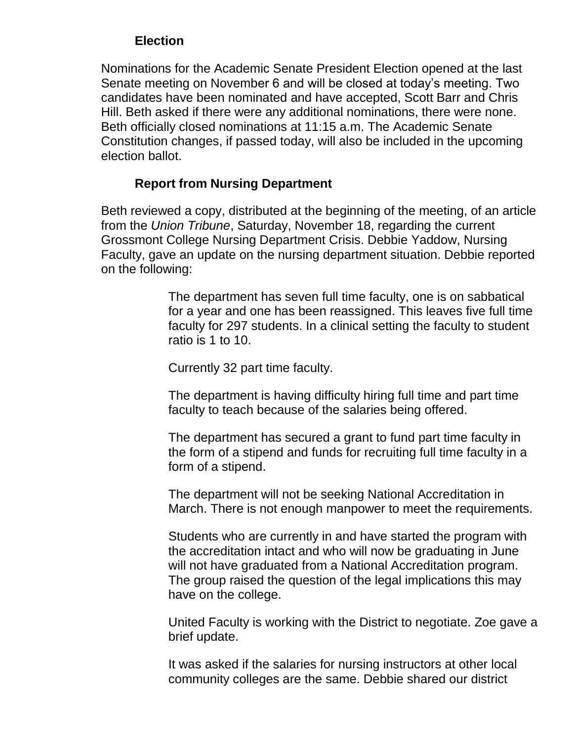## **Election**

Nominations for the Academic Senate President Election opened at the last Senate meeting on November 6 and will be closed at today's meeting. Two candidates have been nominated and have accepted, Scott Barr and Chris Hill. Beth asked if there were any additional nominations, there were none. Beth officially closed nominations at 11:15 a.m. The Academic Senate Constitution changes, if passed today, will also be included in the upcoming election ballot.

# **Report from Nursing Department**

Beth reviewed a copy, distributed at the beginning of the meeting, of an article from the *Union Tribune*, Saturday, November 18, regarding the current Grossmont College Nursing Department Crisis. Debbie Yaddow, Nursing Faculty, gave an update on the nursing department situation. Debbie reported on the following:

> The department has seven full time faculty, one is on sabbatical for a year and one has been reassigned. This leaves five full time faculty for 297 students. In a clinical setting the faculty to student ratio is 1 to 10.

Currently 32 part time faculty.

The department is having difficulty hiring full time and part time faculty to teach because of the salaries being offered.

The department has secured a grant to fund part time faculty in the form of a stipend and funds for recruiting full time faculty in a form of a stipend.

The department will not be seeking National Accreditation in March. There is not enough manpower to meet the requirements.

Students who are currently in and have started the program with the accreditation intact and who will now be graduating in June will not have graduated from a National Accreditation program. The group raised the question of the legal implications this may have on the college.

United Faculty is working with the District to negotiate. Zoe gave a brief update.

It was asked if the salaries for nursing instructors at other local community colleges are the same. Debbie shared our district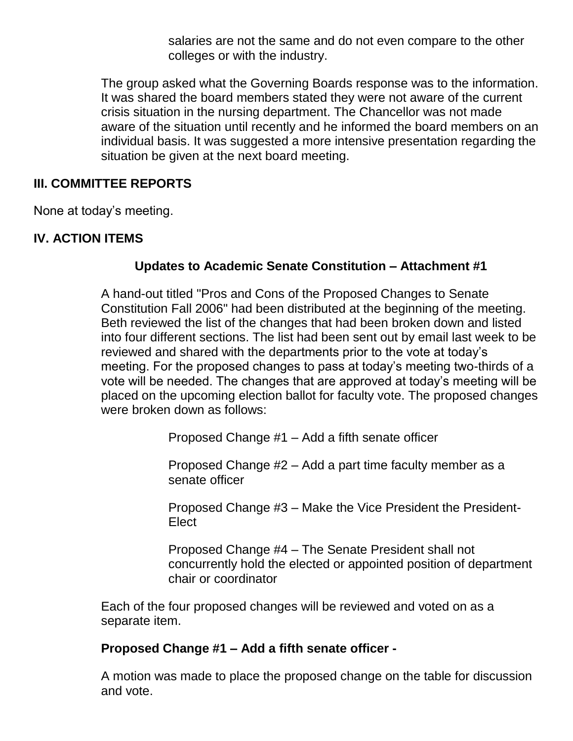salaries are not the same and do not even compare to the other colleges or with the industry.

The group asked what the Governing Boards response was to the information. It was shared the board members stated they were not aware of the current crisis situation in the nursing department. The Chancellor was not made aware of the situation until recently and he informed the board members on an individual basis. It was suggested a more intensive presentation regarding the situation be given at the next board meeting.

### **III. COMMITTEE REPORTS**

None at today's meeting.

# **IV. ACTION ITEMS**

# **Updates to Academic Senate Constitution – Attachment #1**

A hand-out titled "Pros and Cons of the Proposed Changes to Senate Constitution Fall 2006" had been distributed at the beginning of the meeting. Beth reviewed the list of the changes that had been broken down and listed into four different sections. The list had been sent out by email last week to be reviewed and shared with the departments prior to the vote at today's meeting. For the proposed changes to pass at today's meeting two-thirds of a vote will be needed. The changes that are approved at today's meeting will be placed on the upcoming election ballot for faculty vote. The proposed changes were broken down as follows:

Proposed Change #1 – Add a fifth senate officer

Proposed Change #2 – Add a part time faculty member as a senate officer

Proposed Change #3 – Make the Vice President the President-**Elect** 

Proposed Change #4 – The Senate President shall not concurrently hold the elected or appointed position of department chair or coordinator

Each of the four proposed changes will be reviewed and voted on as a separate item.

### **Proposed Change #1 – Add a fifth senate officer -**

A motion was made to place the proposed change on the table for discussion and vote.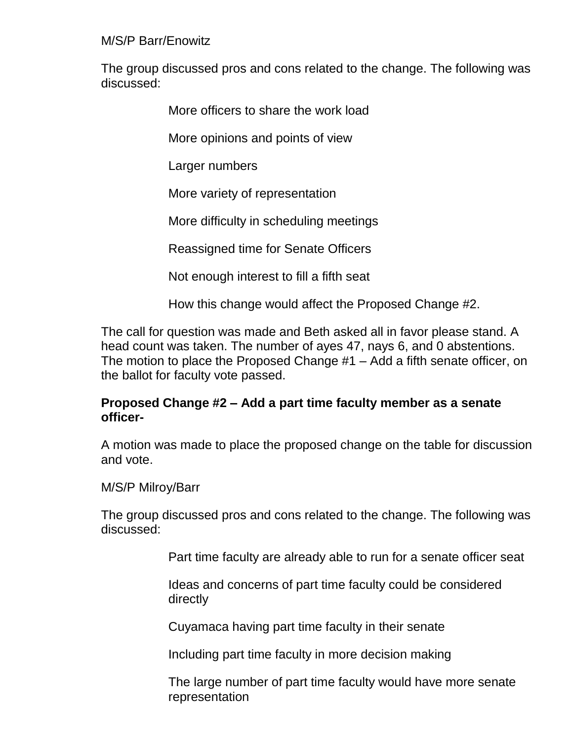M/S/P Barr/Enowitz

The group discussed pros and cons related to the change. The following was discussed:

More officers to share the work load

More opinions and points of view

Larger numbers

More variety of representation

More difficulty in scheduling meetings

Reassigned time for Senate Officers

Not enough interest to fill a fifth seat

How this change would affect the Proposed Change #2.

The call for question was made and Beth asked all in favor please stand. A head count was taken. The number of ayes 47, nays 6, and 0 abstentions. The motion to place the Proposed Change #1 – Add a fifth senate officer, on the ballot for faculty vote passed.

### **Proposed Change #2 – Add a part time faculty member as a senate officer-**

A motion was made to place the proposed change on the table for discussion and vote.

### M/S/P Milroy/Barr

The group discussed pros and cons related to the change. The following was discussed:

Part time faculty are already able to run for a senate officer seat

Ideas and concerns of part time faculty could be considered directly

Cuyamaca having part time faculty in their senate

Including part time faculty in more decision making

The large number of part time faculty would have more senate representation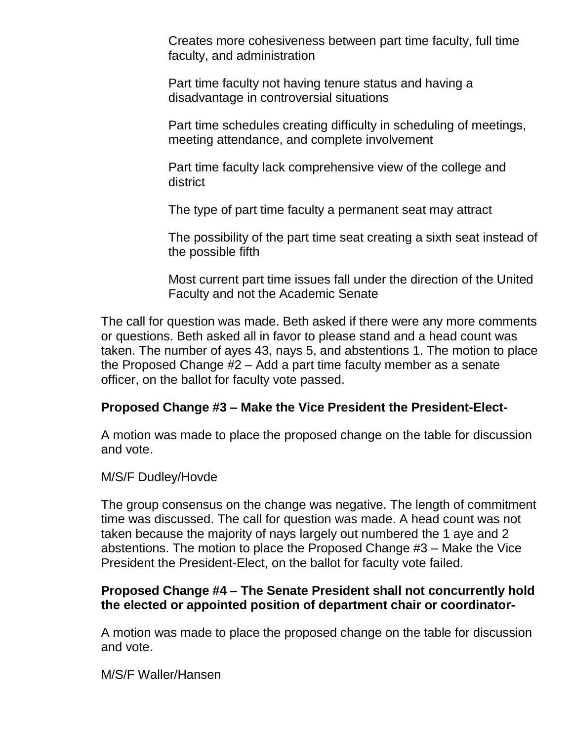Creates more cohesiveness between part time faculty, full time faculty, and administration

Part time faculty not having tenure status and having a disadvantage in controversial situations

Part time schedules creating difficulty in scheduling of meetings, meeting attendance, and complete involvement

Part time faculty lack comprehensive view of the college and district

The type of part time faculty a permanent seat may attract

The possibility of the part time seat creating a sixth seat instead of the possible fifth

Most current part time issues fall under the direction of the United Faculty and not the Academic Senate

The call for question was made. Beth asked if there were any more comments or questions. Beth asked all in favor to please stand and a head count was taken. The number of ayes 43, nays 5, and abstentions 1. The motion to place the Proposed Change #2 – Add a part time faculty member as a senate officer, on the ballot for faculty vote passed.

### **Proposed Change #3 – Make the Vice President the President-Elect-**

A motion was made to place the proposed change on the table for discussion and vote.

#### M/S/F Dudley/Hovde

The group consensus on the change was negative. The length of commitment time was discussed. The call for question was made. A head count was not taken because the majority of nays largely out numbered the 1 aye and 2 abstentions. The motion to place the Proposed Change #3 – Make the Vice President the President-Elect, on the ballot for faculty vote failed.

### **Proposed Change #4 – The Senate President shall not concurrently hold the elected or appointed position of department chair or coordinator-**

A motion was made to place the proposed change on the table for discussion and vote.

M/S/F Waller/Hansen